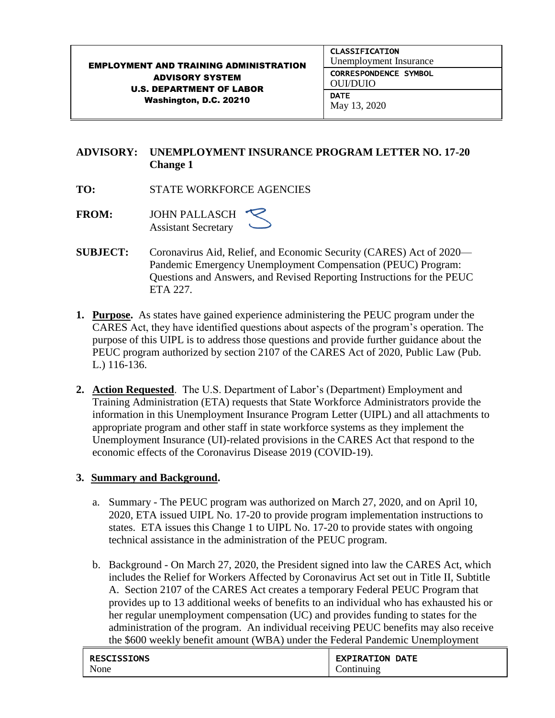| <b>EMPLOYMENT AND TRAINING ADMINISTRATION</b><br><b>ADVISORY SYSTEM</b><br><b>U.S. DEPARTMENT OF LABOR</b><br>Washington, D.C. 20210 | <b>CLASSIFICATION</b><br>Unemployment Insurance |
|--------------------------------------------------------------------------------------------------------------------------------------|-------------------------------------------------|
|                                                                                                                                      | <b>CORRESPONDENCE SYMBOL</b><br><b>OULDUIO</b>  |
|                                                                                                                                      | <b>DATE</b><br>May 13, 2020                     |

# **ADVISORY: UNEMPLOYMENT INSURANCE PROGRAM LETTER NO. 17-20 Change 1**

- **TO:** STATE WORKFORCE AGENCIES
- **FROM:** JOHN PALLASCH Assistant Secretary
- **SUBJECT:** Coronavirus Aid, Relief, and Economic Security (CARES) Act of 2020— Pandemic Emergency Unemployment Compensation (PEUC) Program: Questions and Answers, and Revised Reporting Instructions for the PEUC ETA 227.
- **1. Purpose.** As states have gained experience administering the PEUC program under the CARES Act, they have identified questions about aspects of the program's operation. The purpose of this UIPL is to address those questions and provide further guidance about the PEUC program authorized by section 2107 of the CARES Act of 2020, Public Law (Pub. L.) 116-136.
- **2. Action Requested**. The U.S. Department of Labor's (Department) Employment and Training Administration (ETA) requests that State Workforce Administrators provide the information in this Unemployment Insurance Program Letter (UIPL) and all attachments to appropriate program and other staff in state workforce systems as they implement the Unemployment Insurance (UI)-related provisions in the CARES Act that respond to the economic effects of the Coronavirus Disease 2019 (COVID-19).

# **3. Summary and Background.**

- a. Summary The PEUC program was authorized on March 27, 2020, and on April 10, 2020, ETA issued UIPL No. 17-20 to provide program implementation instructions to states. ETA issues this Change 1 to UIPL No. 17-20 to provide states with ongoing technical assistance in the administration of the PEUC program.
- b. Background On March 27, 2020, the President signed into law the CARES Act, which includes the Relief for Workers Affected by Coronavirus Act set out in Title II, Subtitle A. Section 2107 of the CARES Act creates a temporary Federal PEUC Program that provides up to 13 additional weeks of benefits to an individual who has exhausted his or her regular unemployment compensation (UC) and provides funding to states for the administration of the program. An individual receiving PEUC benefits may also receive the \$600 weekly benefit amount (WBA) under the Federal Pandemic Unemployment

| <b>RESCISSIONS</b> | <b>EXPIRATION DATE</b> |
|--------------------|------------------------|
| None               | Continuing             |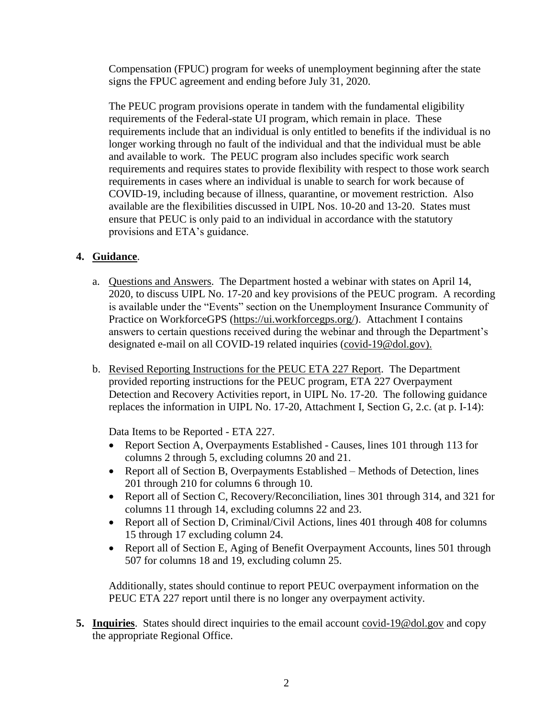Compensation (FPUC) program for weeks of unemployment beginning after the state signs the FPUC agreement and ending before July 31, 2020.

The PEUC program provisions operate in tandem with the fundamental eligibility requirements of the Federal-state UI program, which remain in place. These requirements include that an individual is only entitled to benefits if the individual is no longer working through no fault of the individual and that the individual must be able and available to work. The PEUC program also includes specific work search requirements and requires states to provide flexibility with respect to those work search requirements in cases where an individual is unable to search for work because of COVID-19, including because of illness, quarantine, or movement restriction. Also available are the flexibilities discussed in UIPL Nos. 10-20 and 13-20. States must ensure that PEUC is only paid to an individual in accordance with the statutory provisions and ETA's guidance.

#### **4. Guidance**.

- a. Questions and Answers. The Department hosted a webinar with states on April 14, 2020, to discuss UIPL No. 17-20 and key provisions of the PEUC program. A recording is available under the "Events" section on the Unemployment Insurance Community of Practice on WorkforceGPS [\(https://ui.workforcegps.org/\)](https://ui.workforcegps.org/). Attachment I contains answers to certain questions received during the webinar and through the Department's designated e-mail on all COVID-19 related inquiries [\(covid-19@dol.gov\)](mailto:covid-19@dol.gov).
- b. Revised Reporting Instructions for the PEUC ETA 227 Report. The Department provided reporting instructions for the PEUC program, ETA 227 Overpayment Detection and Recovery Activities report, in UIPL No. 17-20. The following guidance replaces the information in UIPL No. 17-20, Attachment I, Section G, 2.c. (at p. I-14):

Data Items to be Reported - ETA 227.

- Report Section A, Overpayments Established Causes, lines 101 through 113 for columns 2 through 5, excluding columns 20 and 21.
- Report all of Section B, Overpayments Established Methods of Detection, lines 201 through 210 for columns 6 through 10.
- Report all of Section C, Recovery/Reconciliation, lines 301 through 314, and 321 for columns 11 through 14, excluding columns 22 and 23.
- Report all of Section D, Criminal/Civil Actions, lines 401 through 408 for columns 15 through 17 excluding column 24.
- Report all of Section E, Aging of Benefit Overpayment Accounts, lines 501 through 507 for columns 18 and 19, excluding column 25.

Additionally, states should continue to report PEUC overpayment information on the PEUC ETA 227 report until there is no longer any overpayment activity.

**5. Inquiries**. States should direct inquiries to the email account [covid-19@dol.gov](mailto:covid-19@dol.gov) and copy the appropriate Regional Office.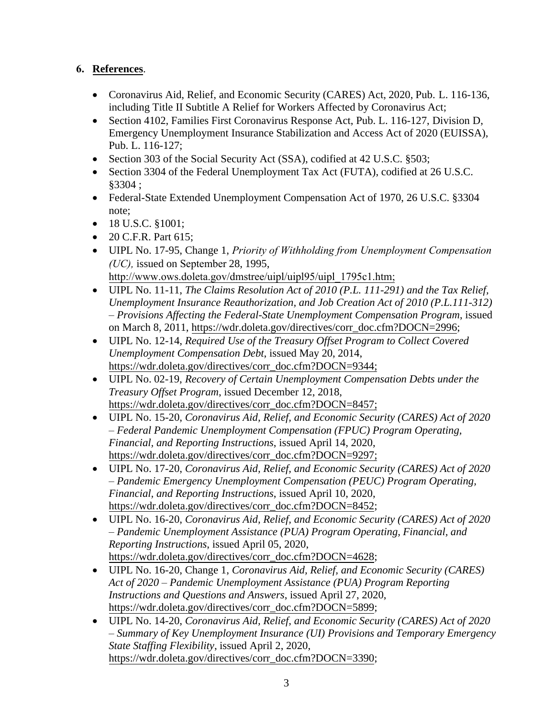# **6. References**.

- Coronavirus Aid, Relief, and Economic Security (CARES) Act, 2020, Pub. L. 116-136, including Title II Subtitle A Relief for Workers Affected by Coronavirus Act;
- Section 4102, Families First Coronavirus Response Act, Pub. L. 116-127, Division D, Emergency Unemployment Insurance Stabilization and Access Act of 2020 (EUISSA), Pub. L. 116-127;
- Section 303 of the Social Security Act (SSA), codified at 42 U.S.C. §503;
- Section 3304 of the Federal Unemployment Tax Act (FUTA), codified at 26 U.S.C. §3304 ;
- Federal-State Extended Unemployment Compensation Act of 1970, 26 U.S.C. §3304 note;
- 18 U.S.C. §1001;
- 20 C.F.R. Part 615;
- UIPL No. 17-95, Change 1, *Priority of Withholding from Unemployment Compensation (UC),* issued on September 28, 1995, http://www.ows.doleta.gov/dmstree/uipl/uipl95/uipl\_1795c1.htm;
- UIPL No. 11-11, *The Claims Resolution Act of 2010 (P.L. 111-291) and the Tax Relief, Unemployment Insurance Reauthorization, and Job Creation Act of 2010 (P.L.111-312) – Provisions Affecting the Federal-State Unemployment Compensation Program*, issued on March 8, 2011, [https://wdr.doleta.gov/directives/corr\\_doc.cfm?DOCN=2996;](https://wdr.doleta.gov/directives/corr_doc.cfm?DOCN=2996)
- UIPL No. 12-14, *Required Use of the Treasury Offset Program to Collect Covered Unemployment Compensation Debt*, issued May 20, 2014, [https://wdr.doleta.gov/directives/corr\\_doc.cfm?DOCN=9344;](https://wdr.doleta.gov/directives/corr_doc.cfm?DOCN=9344)
- UIPL No. 02-19, *Recovery of Certain Unemployment Compensation Debts under the Treasury Offset Program*, issued December 12, 2018, [https://wdr.doleta.gov/directives/corr\\_doc.cfm?DOCN=8457;](https://wdr.doleta.gov/directives/corr_doc.cfm?DOCN=8457)
- UIPL No. 15-20, *Coronavirus Aid, Relief, and Economic Security (CARES) Act of 2020 – Federal Pandemic Unemployment Compensation (FPUC) Program Operating, Financial, and Reporting Instructions*, issued April 14, 2020, [https://wdr.doleta.gov/directives/corr\\_doc.cfm?DOCN=9297;](https://wdr.doleta.gov/directives/corr_doc.cfm?DOCN=9297)
- UIPL No. 17-20, *Coronavirus Aid, Relief, and Economic Security (CARES) Act of 2020 – Pandemic Emergency Unemployment Compensation (PEUC) Program Operating, Financial, and Reporting Instructions*, issued April 10, 2020, [https://wdr.doleta.gov/directives/corr\\_doc.cfm?DOCN=8452;](https://wdr.doleta.gov/directives/corr_doc.cfm?DOCN=8452)
- UIPL No. 16-20, *Coronavirus Aid, Relief, and Economic Security (CARES) Act of 2020 – Pandemic Unemployment Assistance (PUA) Program Operating, Financial, and Reporting Instructions*, issued April 05, 2020, [https://wdr.doleta.gov/directives/corr\\_doc.cfm?DOCN=4628;](https://wdr.doleta.gov/directives/corr_doc.cfm?DOCN=4628)
- UIPL No. 16-20, Change 1, *Coronavirus Aid, Relief, and Economic Security (CARES) Act of 2020 – Pandemic Unemployment Assistance (PUA) Program Reporting Instructions and Questions and Answers*, issued April 27, 2020, [https://wdr.doleta.gov/directives/corr\\_doc.cfm?DOCN=5899;](https://wdr.doleta.gov/directives/corr_doc.cfm?DOCN=5899)
- UIPL No. 14-20, *Coronavirus Aid, Relief, and Economic Security (CARES) Act of 2020 – Summary of Key Unemployment Insurance (UI) Provisions and Temporary Emergency State Staffing Flexibility*, issued April 2, 2020, [https://wdr.doleta.gov/directives/corr\\_doc.cfm?DOCN=3390;](https://wdr.doleta.gov/directives/corr_doc.cfm?DOCN=3390)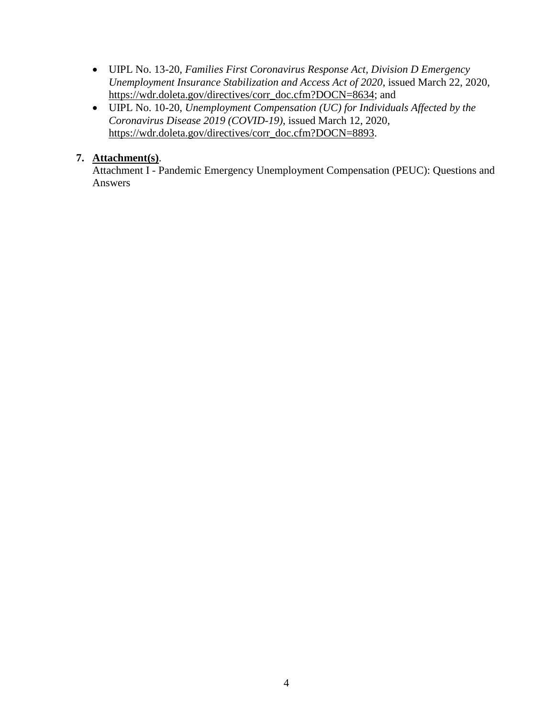- UIPL No. 13-20, *Families First Coronavirus Response Act, Division D Emergency Unemployment Insurance Stabilization and Access Act of 2020*, issued March 22, 2020, [https://wdr.doleta.gov/directives/corr\\_doc.cfm?DOCN=8634;](https://wdr.doleta.gov/directives/corr_doc.cfm?DOCN=8634) and
- UIPL No. 10-20, *Unemployment Compensation (UC) for Individuals Affected by the Coronavirus Disease 2019 (COVID-19)*, issued March 12, 2020, [https://wdr.doleta.gov/directives/corr\\_doc.cfm?DOCN=8893.](https://wdr.doleta.gov/directives/corr_doc.cfm?DOCN=8893)

### **7. Attachment(s)**.

Attachment I - Pandemic Emergency Unemployment Compensation (PEUC): Questions and Answers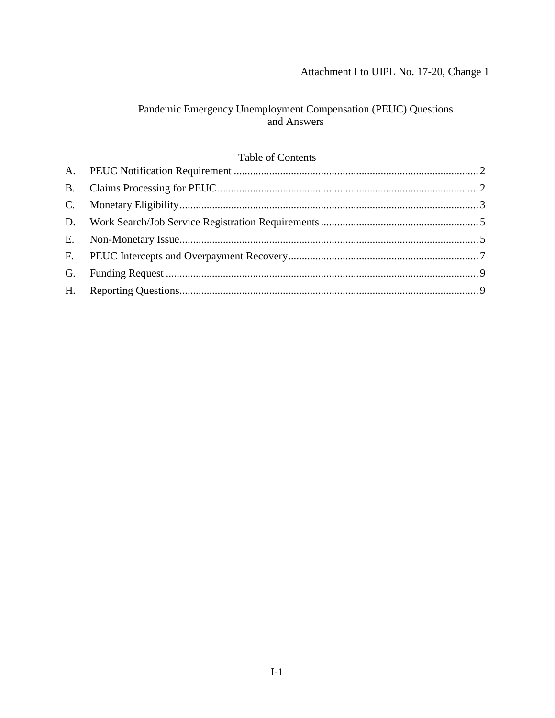# Attachment I to UIPL No. 17-20, Change 1

# Pandemic Emergency Unemployment Compensation (PEUC) Questions and Answers

# Table of Contents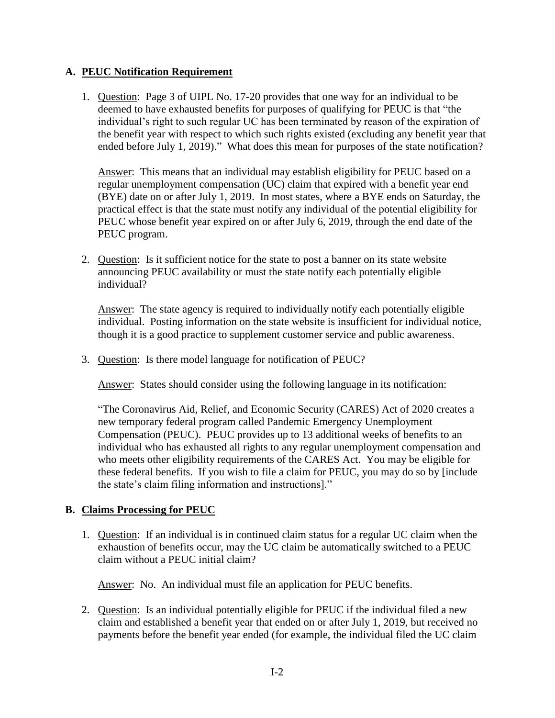### <span id="page-5-0"></span>**A. PEUC Notification Requirement**

1. Question: Page 3 of UIPL No. 17-20 provides that one way for an individual to be deemed to have exhausted benefits for purposes of qualifying for PEUC is that "the individual's right to such regular UC has been terminated by reason of the expiration of the benefit year with respect to which such rights existed (excluding any benefit year that ended before July 1, 2019)." What does this mean for purposes of the state notification?

Answer: This means that an individual may establish eligibility for PEUC based on a regular unemployment compensation (UC) claim that expired with a benefit year end (BYE) date on or after July 1, 2019. In most states, where a BYE ends on Saturday, the practical effect is that the state must notify any individual of the potential eligibility for PEUC whose benefit year expired on or after July 6, 2019, through the end date of the PEUC program.

2. Question: Is it sufficient notice for the state to post a banner on its state website announcing PEUC availability or must the state notify each potentially eligible individual?

Answer: The state agency is required to individually notify each potentially eligible individual. Posting information on the state website is insufficient for individual notice, though it is a good practice to supplement customer service and public awareness.

3. Question: Is there model language for notification of PEUC?

Answer: States should consider using the following language in its notification:

"The Coronavirus Aid, Relief, and Economic Security (CARES) Act of 2020 creates a new temporary federal program called Pandemic Emergency Unemployment Compensation (PEUC). PEUC provides up to 13 additional weeks of benefits to an individual who has exhausted all rights to any regular unemployment compensation and who meets other eligibility requirements of the CARES Act. You may be eligible for these federal benefits. If you wish to file a claim for PEUC, you may do so by [include the state's claim filing information and instructions]."

#### <span id="page-5-1"></span>**B. Claims Processing for PEUC**

1. Question: If an individual is in continued claim status for a regular UC claim when the exhaustion of benefits occur, may the UC claim be automatically switched to a PEUC claim without a PEUC initial claim?

Answer: No. An individual must file an application for PEUC benefits.

2. Question: Is an individual potentially eligible for PEUC if the individual filed a new claim and established a benefit year that ended on or after July 1, 2019, but received no payments before the benefit year ended (for example, the individual filed the UC claim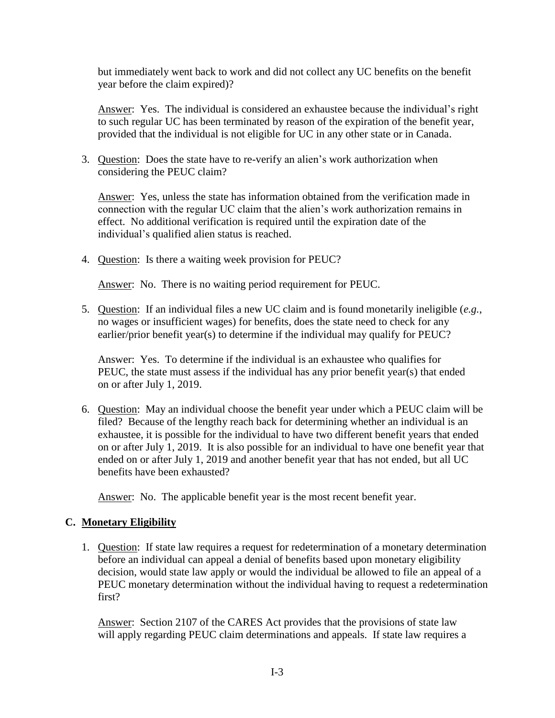but immediately went back to work and did not collect any UC benefits on the benefit year before the claim expired)?

Answer: Yes. The individual is considered an exhaustee because the individual's right to such regular UC has been terminated by reason of the expiration of the benefit year, provided that the individual is not eligible for UC in any other state or in Canada.

3. Question: Does the state have to re-verify an alien's work authorization when considering the PEUC claim?

Answer: Yes, unless the state has information obtained from the verification made in connection with the regular UC claim that the alien's work authorization remains in effect. No additional verification is required until the expiration date of the individual's qualified alien status is reached.

4. Question: Is there a waiting week provision for PEUC?

Answer: No. There is no waiting period requirement for PEUC.

5. Question: If an individual files a new UC claim and is found monetarily ineligible (*e.g.*, no wages or insufficient wages) for benefits, does the state need to check for any earlier/prior benefit year(s) to determine if the individual may qualify for PEUC?

Answer: Yes. To determine if the individual is an exhaustee who qualifies for PEUC, the state must assess if the individual has any prior benefit year(s) that ended on or after July 1, 2019.

6. Question: May an individual choose the benefit year under which a PEUC claim will be filed? Because of the lengthy reach back for determining whether an individual is an exhaustee, it is possible for the individual to have two different benefit years that ended on or after July 1, 2019. It is also possible for an individual to have one benefit year that ended on or after July 1, 2019 and another benefit year that has not ended, but all UC benefits have been exhausted?

Answer: No. The applicable benefit year is the most recent benefit year.

# <span id="page-6-0"></span>**C. Monetary Eligibility**

1. Question: If state law requires a request for redetermination of a monetary determination before an individual can appeal a denial of benefits based upon monetary eligibility decision, would state law apply or would the individual be allowed to file an appeal of a PEUC monetary determination without the individual having to request a redetermination first?

Answer: Section 2107 of the CARES Act provides that the provisions of state law will apply regarding PEUC claim determinations and appeals. If state law requires a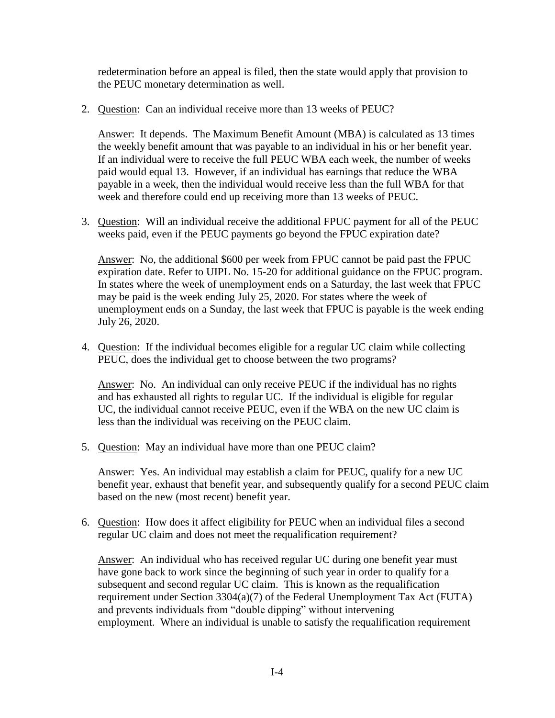redetermination before an appeal is filed, then the state would apply that provision to the PEUC monetary determination as well.

2. Question: Can an individual receive more than 13 weeks of PEUC?

Answer: It depends. The Maximum Benefit Amount (MBA) is calculated as 13 times the weekly benefit amount that was payable to an individual in his or her benefit year. If an individual were to receive the full PEUC WBA each week, the number of weeks paid would equal 13. However, if an individual has earnings that reduce the WBA payable in a week, then the individual would receive less than the full WBA for that week and therefore could end up receiving more than 13 weeks of PEUC.

3. Question: Will an individual receive the additional FPUC payment for all of the PEUC weeks paid, even if the PEUC payments go beyond the FPUC expiration date?

Answer: No, the additional \$600 per week from FPUC cannot be paid past the FPUC expiration date. Refer to UIPL No. 15-20 for additional guidance on the FPUC program. In states where the week of unemployment ends on a Saturday, the last week that FPUC may be paid is the week ending July 25, 2020. For states where the week of unemployment ends on a Sunday, the last week that FPUC is payable is the week ending July 26, 2020.

4. Question: If the individual becomes eligible for a regular UC claim while collecting PEUC, does the individual get to choose between the two programs?

Answer: No. An individual can only receive PEUC if the individual has no rights and has exhausted all rights to regular UC. If the individual is eligible for regular UC, the individual cannot receive PEUC, even if the WBA on the new UC claim is less than the individual was receiving on the PEUC claim.

5. Question: May an individual have more than one PEUC claim?

Answer: Yes. An individual may establish a claim for PEUC, qualify for a new UC benefit year, exhaust that benefit year, and subsequently qualify for a second PEUC claim based on the new (most recent) benefit year.

6. Question: How does it affect eligibility for PEUC when an individual files a second regular UC claim and does not meet the requalification requirement?

Answer: An individual who has received regular UC during one benefit year must have gone back to work since the beginning of such year in order to qualify for a subsequent and second regular UC claim. This is known as the requalification requirement under Section 3304(a)(7) of the Federal Unemployment Tax Act (FUTA) and prevents individuals from "double dipping" without intervening employment. Where an individual is unable to satisfy the requalification requirement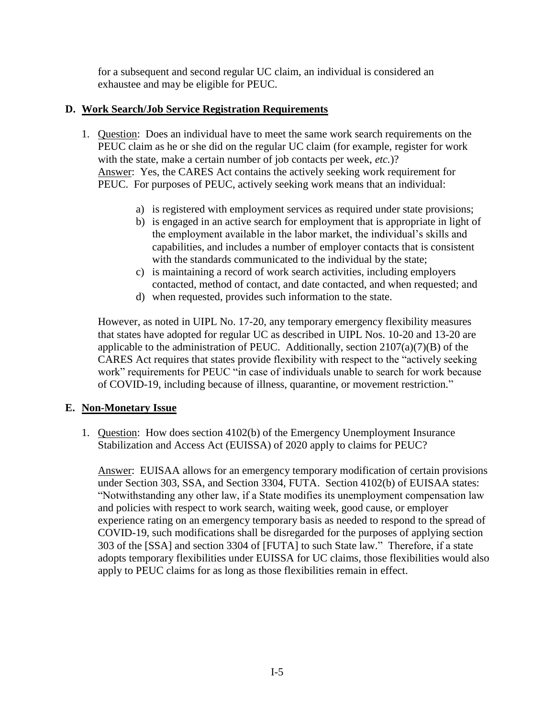for a subsequent and second regular UC claim, an individual is considered an exhaustee and may be eligible for PEUC.

# <span id="page-8-0"></span>**D. Work Search/Job Service Registration Requirements**

- 1. Question: Does an individual have to meet the same work search requirements on the PEUC claim as he or she did on the regular UC claim (for example, register for work with the state, make a certain number of job contacts per week, *etc.*)? Answer: Yes, the CARES Act contains the actively seeking work requirement for PEUC. For purposes of PEUC, actively seeking work means that an individual:
	- a) is registered with employment services as required under state provisions;
	- b) is engaged in an active search for employment that is appropriate in light of the employment available in the labor market, the individual's skills and capabilities, and includes a number of employer contacts that is consistent with the standards communicated to the individual by the state;
	- c) is maintaining a record of work search activities, including employers contacted, method of contact, and date contacted, and when requested; and
	- d) when requested, provides such information to the state.

However, as noted in UIPL No. 17-20, any temporary emergency flexibility measures that states have adopted for regular UC as described in UIPL Nos. 10-20 and 13-20 are applicable to the administration of PEUC. Additionally, section  $2107(a)(7)(B)$  of the CARES Act requires that states provide flexibility with respect to the "actively seeking work" requirements for PEUC "in case of individuals unable to search for work because of COVID-19, including because of illness, quarantine, or movement restriction."

# <span id="page-8-1"></span>**E. Non-Monetary Issue**

1. Question: How does section 4102(b) of the Emergency Unemployment Insurance Stabilization and Access Act (EUISSA) of 2020 apply to claims for PEUC?

Answer: EUISAA allows for an emergency temporary modification of certain provisions under Section 303, SSA, and Section 3304, FUTA. Section 4102(b) of EUISAA states: "Notwithstanding any other law, if a State modifies its unemployment compensation law and policies with respect to work search, waiting week, good cause, or employer experience rating on an emergency temporary basis as needed to respond to the spread of COVID-19, such modifications shall be disregarded for the purposes of applying section 303 of the [SSA] and section 3304 of [FUTA] to such State law." Therefore, if a state adopts temporary flexibilities under EUISSA for UC claims, those flexibilities would also apply to PEUC claims for as long as those flexibilities remain in effect.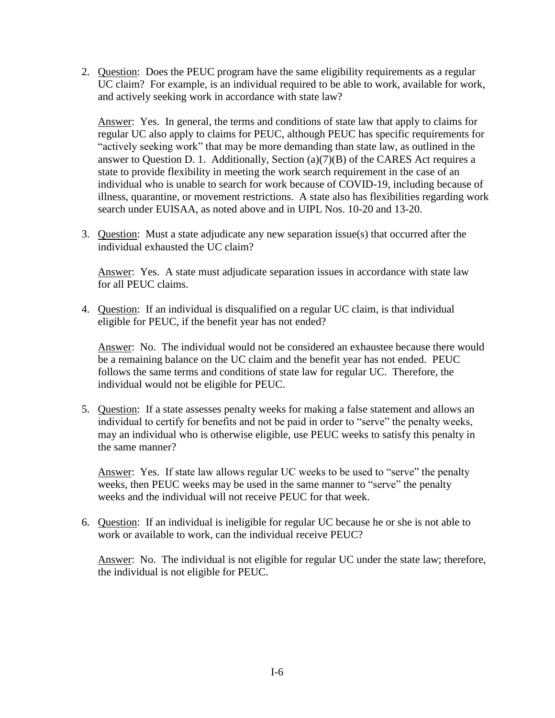2. Question: Does the PEUC program have the same eligibility requirements as a regular UC claim? For example, is an individual required to be able to work, available for work, and actively seeking work in accordance with state law?

Answer: Yes. In general, the terms and conditions of state law that apply to claims for regular UC also apply to claims for PEUC, although PEUC has specific requirements for "actively seeking work" that may be more demanding than state law, as outlined in the answer to Question D. 1. Additionally, Section (a)(7)(B) of the CARES Act requires a state to provide flexibility in meeting the work search requirement in the case of an individual who is unable to search for work because of COVID-19, including because of illness, quarantine, or movement restrictions. A state also has flexibilities regarding work search under EUISAA, as noted above and in UIPL Nos. 10-20 and 13-20.

3. Question: Must a state adjudicate any new separation issue(s) that occurred after the individual exhausted the UC claim?

Answer: Yes. A state must adjudicate separation issues in accordance with state law for all PEUC claims.

4. Question: If an individual is disqualified on a regular UC claim, is that individual eligible for PEUC, if the benefit year has not ended?

Answer: No. The individual would not be considered an exhaustee because there would be a remaining balance on the UC claim and the benefit year has not ended. PEUC follows the same terms and conditions of state law for regular UC. Therefore, the individual would not be eligible for PEUC.

5. Question: If a state assesses penalty weeks for making a false statement and allows an individual to certify for benefits and not be paid in order to "serve" the penalty weeks, may an individual who is otherwise eligible, use PEUC weeks to satisfy this penalty in the same manner?

Answer: Yes. If state law allows regular UC weeks to be used to "serve" the penalty weeks, then PEUC weeks may be used in the same manner to "serve" the penalty weeks and the individual will not receive PEUC for that week.

6. Question: If an individual is ineligible for regular UC because he or she is not able to work or available to work, can the individual receive PEUC?

Answer: No. The individual is not eligible for regular UC under the state law; therefore, the individual is not eligible for PEUC.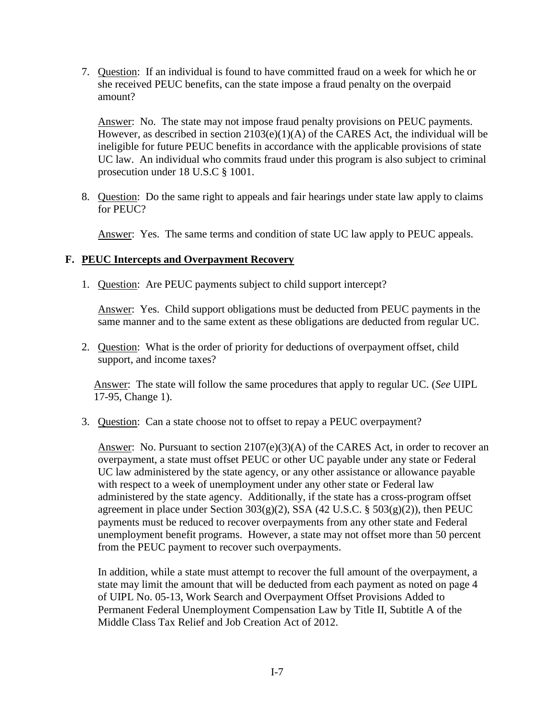7. Question: If an individual is found to have committed fraud on a week for which he or she received PEUC benefits, can the state impose a fraud penalty on the overpaid amount?

Answer: No. The state may not impose fraud penalty provisions on PEUC payments. However, as described in section  $2103(e)(1)(A)$  of the CARES Act, the individual will be ineligible for future PEUC benefits in accordance with the applicable provisions of state UC law. An individual who commits fraud under this program is also subject to criminal prosecution under 18 U.S.C § 1001.

8. Question: Do the same right to appeals and fair hearings under state law apply to claims for PEUC?

Answer: Yes. The same terms and condition of state UC law apply to PEUC appeals.

# <span id="page-10-0"></span>**F. PEUC Intercepts and Overpayment Recovery**

1. Question: Are PEUC payments subject to child support intercept?

Answer: Yes. Child support obligations must be deducted from PEUC payments in the same manner and to the same extent as these obligations are deducted from regular UC.

2. Question: What is the order of priority for deductions of overpayment offset, child support, and income taxes?

Answer: The state will follow the same procedures that apply to regular UC. (*See* UIPL 17-95, Change 1).

3. Question: Can a state choose not to offset to repay a PEUC overpayment?

Answer: No. Pursuant to section  $2107(e)(3)(A)$  of the CARES Act, in order to recover an overpayment, a state must offset PEUC or other UC payable under any state or Federal UC law administered by the state agency, or any other assistance or allowance payable with respect to a week of unemployment under any other state or Federal law administered by the state agency. Additionally, if the state has a cross-program offset agreement in place under Section  $303(g)(2)$ , SSA (42 U.S.C. §  $503(g)(2)$ ), then PEUC payments must be reduced to recover overpayments from any other state and Federal unemployment benefit programs. However, a state may not offset more than 50 percent from the PEUC payment to recover such overpayments.

In addition, while a state must attempt to recover the full amount of the overpayment, a state may limit the amount that will be deducted from each payment as noted on page 4 of UIPL No. 05-13, Work Search and Overpayment Offset Provisions Added to Permanent Federal Unemployment Compensation Law by Title II, Subtitle A of the Middle Class Tax Relief and Job Creation Act of 2012.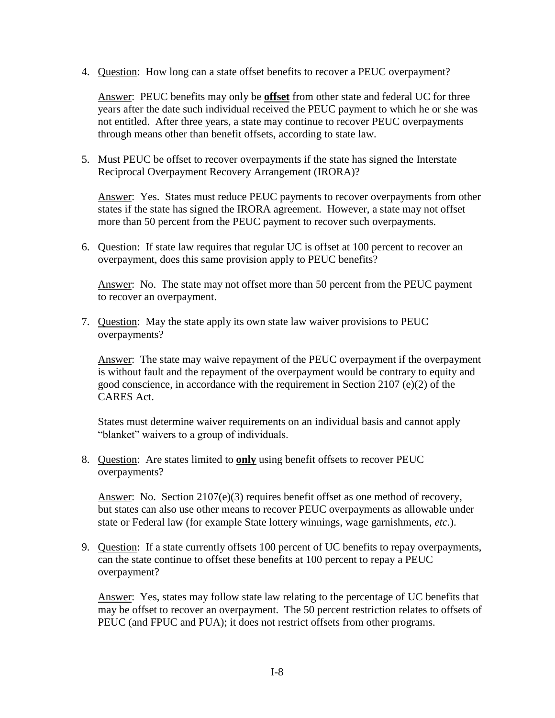4. Question: How long can a state offset benefits to recover a PEUC overpayment?

Answer: PEUC benefits may only be **offset** from other state and federal UC for three years after the date such individual received the PEUC payment to which he or she was not entitled. After three years, a state may continue to recover PEUC overpayments through means other than benefit offsets, according to state law.

5. Must PEUC be offset to recover overpayments if the state has signed the Interstate Reciprocal Overpayment Recovery Arrangement (IRORA)?

Answer: Yes. States must reduce PEUC payments to recover overpayments from other states if the state has signed the IRORA agreement. However, a state may not offset more than 50 percent from the PEUC payment to recover such overpayments.

6. Question: If state law requires that regular UC is offset at 100 percent to recover an overpayment, does this same provision apply to PEUC benefits?

Answer: No. The state may not offset more than 50 percent from the PEUC payment to recover an overpayment.

7. Question: May the state apply its own state law waiver provisions to PEUC overpayments?

Answer: The state may waive repayment of the PEUC overpayment if the overpayment is without fault and the repayment of the overpayment would be contrary to equity and good conscience, in accordance with the requirement in Section 2107 (e)(2) of the CARES Act.

States must determine waiver requirements on an individual basis and cannot apply "blanket" waivers to a group of individuals.

8. Question: Are states limited to **only** using benefit offsets to recover PEUC overpayments?

Answer: No. Section 2107(e)(3) requires benefit offset as one method of recovery, but states can also use other means to recover PEUC overpayments as allowable under state or Federal law (for example State lottery winnings, wage garnishments, *etc.*).

9. Question: If a state currently offsets 100 percent of UC benefits to repay overpayments, can the state continue to offset these benefits at 100 percent to repay a PEUC overpayment?

Answer: Yes, states may follow state law relating to the percentage of UC benefits that may be offset to recover an overpayment. The 50 percent restriction relates to offsets of PEUC (and FPUC and PUA); it does not restrict offsets from other programs.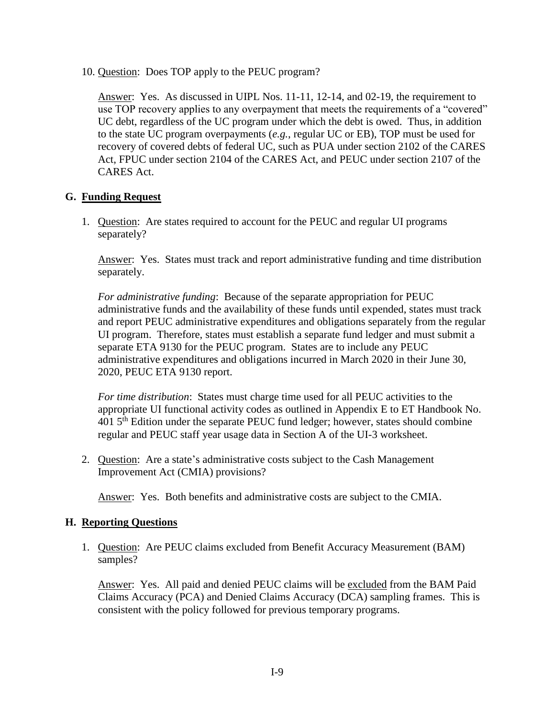10. Question: Does TOP apply to the PEUC program?

Answer: Yes. As discussed in UIPL Nos. [11-11,](https://wdr.doleta.gov/directives/corr_doc.cfm?DOCN=2996) [12-14,](https://wdr.doleta.gov/directives/corr_doc.cfm?DOCN=9344) and [02-19,](https://wdr.doleta.gov/directives/corr_doc.cfm?DOCN=8457) the requirement to use TOP recovery applies to any overpayment that meets the requirements of a "covered" UC debt, regardless of the UC program under which the debt is owed. Thus, in addition to the state UC program overpayments (*e.g.*, regular UC or EB), TOP must be used for recovery of covered debts of federal UC, such as PUA under section 2102 of the CARES Act, FPUC under section 2104 of the CARES Act, and PEUC under section 2107 of the CARES Act.

# <span id="page-12-0"></span>**G. Funding Request**

1. Question: Are states required to account for the PEUC and regular UI programs separately?

Answer: Yes. States must track and report administrative funding and time distribution separately.

*For administrative funding*: Because of the separate appropriation for PEUC administrative funds and the availability of these funds until expended, states must track and report PEUC administrative expenditures and obligations separately from the regular UI program. Therefore, states must establish a separate fund ledger and must submit a separate ETA 9130 for the PEUC program. States are to include any PEUC administrative expenditures and obligations incurred in March 2020 in their June 30, 2020, PEUC ETA 9130 report.

*For time distribution*: States must charge time used for all PEUC activities to the appropriate UI functional activity codes as outlined in Appendix E to ET Handbook No.  $4015<sup>th</sup>$  Edition under the separate PEUC fund ledger; however, states should combine regular and PEUC staff year usage data in Section A of the UI-3 worksheet.

2. Question: Are a state's administrative costs subject to the Cash Management Improvement Act (CMIA) provisions?

Answer: Yes. Both benefits and administrative costs are subject to the CMIA.

# <span id="page-12-1"></span>**H. Reporting Questions**

1. Question: Are PEUC claims excluded from Benefit Accuracy Measurement (BAM) samples?

Answer: Yes. All paid and denied PEUC claims will be excluded from the BAM Paid Claims Accuracy (PCA) and Denied Claims Accuracy (DCA) sampling frames. This is consistent with the policy followed for previous temporary programs.